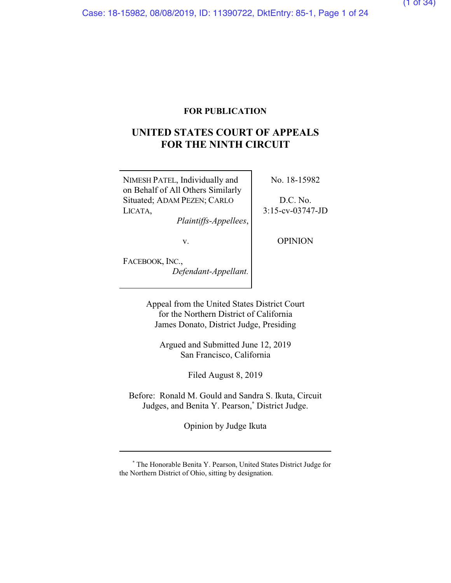# **FOR PUBLICATION**

# **UNITED STATES COURT OF APPEALS FOR THE NINTH CIRCUIT**

NIMESH PATEL, Individually and on Behalf of All Others Similarly Situated; ADAM PEZEN; CARLO LICATA,

*Plaintiffs-Appellees*,

No. 18-15982

D.C. No. 3:15-cv-03747-JD

v.

OPINION

FACEBOOK, INC., *Defendant-Appellant.*

> Appeal from the United States District Court for the Northern District of California James Donato, District Judge, Presiding

Argued and Submitted June 12, 2019 San Francisco, California

Filed August 8, 2019

Before: Ronald M. Gould and Sandra S. Ikuta, Circuit Judges, and Benita Y. Pearson,**\*** District Judge.

Opinion by Judge Ikuta

**<sup>\*</sup>** The Honorable Benita Y. Pearson, United States District Judge for the Northern District of Ohio, sitting by designation.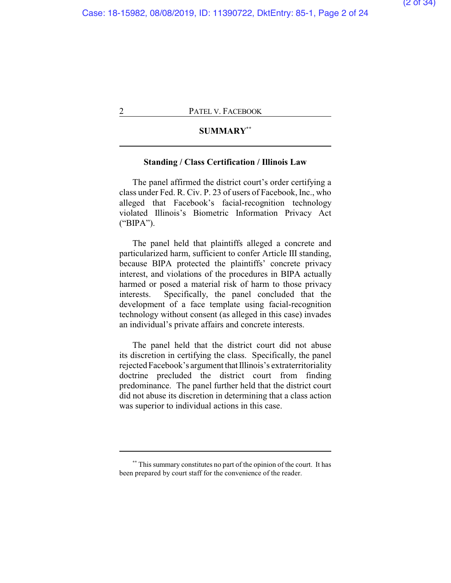# **SUMMARY\*\***

# **Standing / Class Certification / Illinois Law**

The panel affirmed the district court's order certifying a class under Fed. R. Civ. P. 23 of users of Facebook, Inc., who alleged that Facebook's facial-recognition technology violated Illinois's Biometric Information Privacy Act ("BIPA").

The panel held that plaintiffs alleged a concrete and particularized harm, sufficient to confer Article III standing, because BIPA protected the plaintiffs' concrete privacy interest, and violations of the procedures in BIPA actually harmed or posed a material risk of harm to those privacy interests. Specifically, the panel concluded that the development of a face template using facial-recognition technology without consent (as alleged in this case) invades an individual's private affairs and concrete interests.

The panel held that the district court did not abuse its discretion in certifying the class. Specifically, the panel rejected Facebook's argument that Illinois's extraterritoriality doctrine precluded the district court from finding predominance. The panel further held that the district court did not abuse its discretion in determining that a class action was superior to individual actions in this case.

**<sup>\*\*</sup>** This summary constitutes no part of the opinion of the court. It has been prepared by court staff for the convenience of the reader.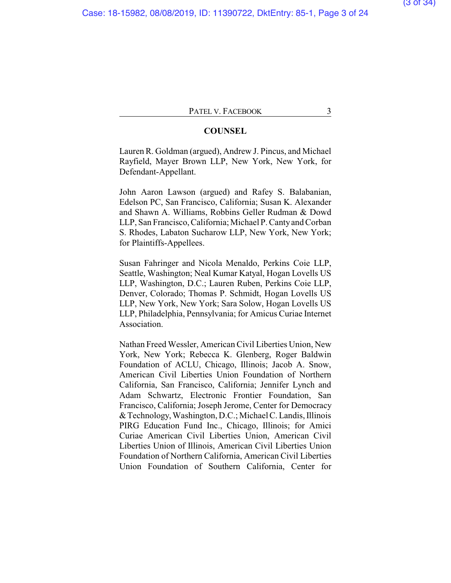# **COUNSEL**

Lauren R. Goldman (argued), Andrew J. Pincus, and Michael Rayfield, Mayer Brown LLP, New York, New York, for Defendant-Appellant.

John Aaron Lawson (argued) and Rafey S. Balabanian, Edelson PC, San Francisco, California; Susan K. Alexander and Shawn A. Williams, Robbins Geller Rudman & Dowd LLP, San Francisco, California; Michael P. Cantyand Corban S. Rhodes, Labaton Sucharow LLP, New York, New York; for Plaintiffs-Appellees.

Susan Fahringer and Nicola Menaldo, Perkins Coie LLP, Seattle, Washington; Neal Kumar Katyal, Hogan Lovells US LLP, Washington, D.C.; Lauren Ruben, Perkins Coie LLP, Denver, Colorado; Thomas P. Schmidt, Hogan Lovells US LLP, New York, New York; Sara Solow, Hogan Lovells US LLP, Philadelphia, Pennsylvania; for Amicus Curiae Internet Association.

Nathan Freed Wessler, American Civil Liberties Union, New York, New York; Rebecca K. Glenberg, Roger Baldwin Foundation of ACLU, Chicago, Illinois; Jacob A. Snow, American Civil Liberties Union Foundation of Northern California, San Francisco, California; Jennifer Lynch and Adam Schwartz, Electronic Frontier Foundation, San Francisco, California; Joseph Jerome, Center for Democracy &Technology,Washington, D.C.; Michael C. Landis, Illinois PIRG Education Fund Inc., Chicago, Illinois; for Amici Curiae American Civil Liberties Union, American Civil Liberties Union of Illinois, American Civil Liberties Union Foundation of Northern California, American Civil Liberties Union Foundation of Southern California, Center for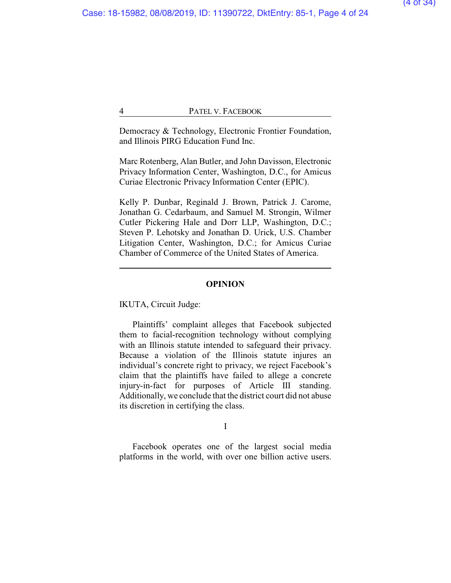Democracy & Technology, Electronic Frontier Foundation, and Illinois PIRG Education Fund Inc.

Marc Rotenberg, Alan Butler, and John Davisson, Electronic Privacy Information Center, Washington, D.C., for Amicus Curiae Electronic Privacy Information Center (EPIC).

Kelly P. Dunbar, Reginald J. Brown, Patrick J. Carome, Jonathan G. Cedarbaum, and Samuel M. Strongin, Wilmer Cutler Pickering Hale and Dorr LLP, Washington, D.C.; Steven P. Lehotsky and Jonathan D. Urick, U.S. Chamber Litigation Center, Washington, D.C.; for Amicus Curiae Chamber of Commerce of the United States of America.

# **OPINION**

IKUTA, Circuit Judge:

Plaintiffs' complaint alleges that Facebook subjected them to facial-recognition technology without complying with an Illinois statute intended to safeguard their privacy. Because a violation of the Illinois statute injures an individual's concrete right to privacy, we reject Facebook's claim that the plaintiffs have failed to allege a concrete injury-in-fact for purposes of Article III standing. Additionally, we conclude that the district court did not abuse its discretion in certifying the class.

I

Facebook operates one of the largest social media platforms in the world, with over one billion active users.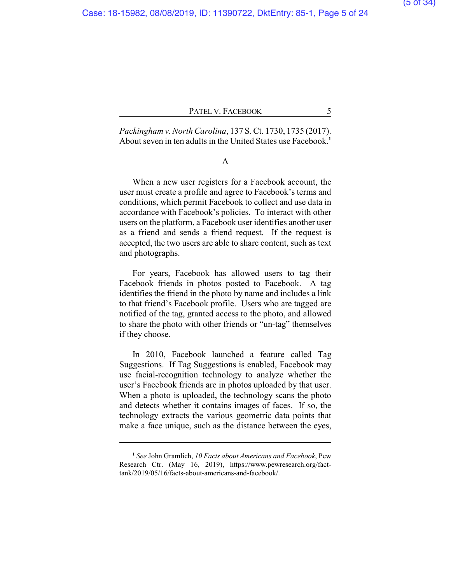*Packingham v. North Carolina*, 137 S. Ct. 1730, 1735 (2017). About seven in ten adults in the United States use Facebook.**<sup>1</sup>**

# A

When a new user registers for a Facebook account, the user must create a profile and agree to Facebook's terms and conditions, which permit Facebook to collect and use data in accordance with Facebook's policies. To interact with other users on the platform, a Facebook user identifies another user as a friend and sends a friend request. If the request is accepted, the two users are able to share content, such as text and photographs.

For years, Facebook has allowed users to tag their Facebook friends in photos posted to Facebook. A tag identifies the friend in the photo by name and includes a link to that friend's Facebook profile. Users who are tagged are notified of the tag, granted access to the photo, and allowed to share the photo with other friends or "un-tag" themselves if they choose.

In 2010, Facebook launched a feature called Tag Suggestions. If Tag Suggestions is enabled, Facebook may use facial-recognition technology to analyze whether the user's Facebook friends are in photos uploaded by that user. When a photo is uploaded, the technology scans the photo and detects whether it contains images of faces. If so, the technology extracts the various geometric data points that make a face unique, such as the distance between the eyes,

**<sup>1</sup>** *See* John Gramlich, *10 Facts about Americans and Facebook*, Pew Research Ctr. (May 16, 2019), https://www.pewresearch.org/facttank/2019/05/16/facts-about-americans-and-facebook/.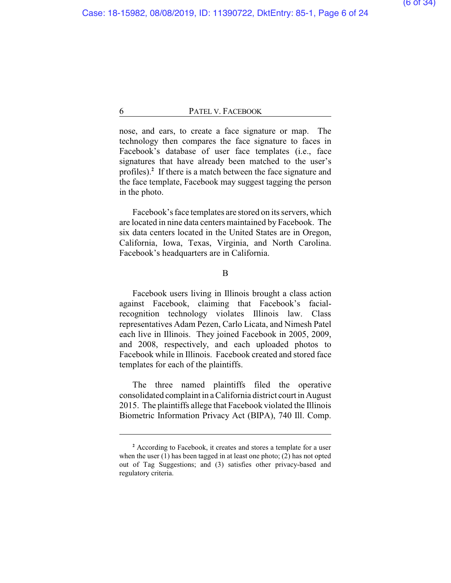nose, and ears, to create a face signature or map. The technology then compares the face signature to faces in Facebook's database of user face templates (i.e., face signatures that have already been matched to the user's profiles).**<sup>2</sup>** If there is a match between the face signature and the face template, Facebook may suggest tagging the person in the photo.

Facebook's face templates are stored on its servers, which are located in nine data centers maintained by Facebook. The six data centers located in the United States are in Oregon, California, Iowa, Texas, Virginia, and North Carolina. Facebook's headquarters are in California.

B

Facebook users living in Illinois brought a class action against Facebook, claiming that Facebook's facialrecognition technology violates Illinois law. Class representatives Adam Pezen, Carlo Licata, and Nimesh Patel each live in Illinois. They joined Facebook in 2005, 2009, and 2008, respectively, and each uploaded photos to Facebook while in Illinois. Facebook created and stored face templates for each of the plaintiffs.

The three named plaintiffs filed the operative consolidated complaint in a California district court in August 2015. The plaintiffs allege that Facebook violated the Illinois Biometric Information Privacy Act (BIPA), 740 Ill. Comp.

**<sup>2</sup>** According to Facebook, it creates and stores a template for a user when the user (1) has been tagged in at least one photo; (2) has not opted out of Tag Suggestions; and (3) satisfies other privacy-based and regulatory criteria.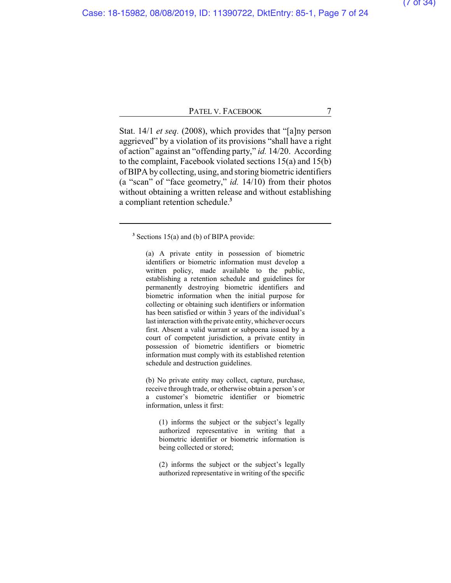Stat. 14/1 *et seq.* (2008), which provides that "[a]ny person aggrieved" by a violation of its provisions "shall have a right of action" against an "offending party," *id.* 14/20. According to the complaint, Facebook violated sections 15(a) and 15(b) of BIPA by collecting, using, and storing biometric identifiers (a "scan" of "face geometry," *id.* 14/10) from their photos without obtaining a written release and without establishing a compliant retention schedule.**<sup>3</sup>**

(a) A private entity in possession of biometric identifiers or biometric information must develop a written policy, made available to the public, establishing a retention schedule and guidelines for permanently destroying biometric identifiers and biometric information when the initial purpose for collecting or obtaining such identifiers or information has been satisfied or within 3 years of the individual's last interaction with the private entity, whichever occurs first. Absent a valid warrant or subpoena issued by a court of competent jurisdiction, a private entity in possession of biometric identifiers or biometric information must comply with its established retention schedule and destruction guidelines.

(b) No private entity may collect, capture, purchase, receive through trade, or otherwise obtain a person's or a customer's biometric identifier or biometric information, unless it first:

(1) informs the subject or the subject's legally authorized representative in writing that a biometric identifier or biometric information is being collected or stored;

(2) informs the subject or the subject's legally authorized representative in writing of the specific

<sup>&</sup>lt;sup>3</sup> Sections 15(a) and (b) of BIPA provide: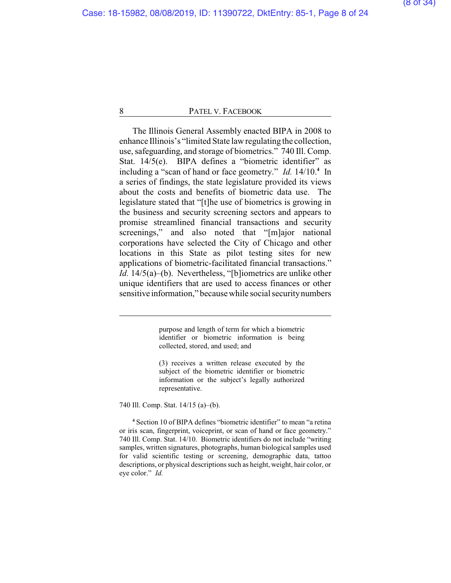The Illinois General Assembly enacted BIPA in 2008 to enhance Illinois's "limited State law regulating the collection, use, safeguarding, and storage of biometrics." 740 Ill. Comp. Stat. 14/5(e). BIPA defines a "biometric identifier" as including a "scan of hand or face geometry." *Id.* 14/10.**<sup>4</sup>** In a series of findings, the state legislature provided its views about the costs and benefits of biometric data use. The legislature stated that "[t]he use of biometrics is growing in the business and security screening sectors and appears to promise streamlined financial transactions and security screenings," and also noted that "[m]ajor national corporations have selected the City of Chicago and other locations in this State as pilot testing sites for new applications of biometric-facilitated financial transactions." *Id.* 14/5(a)–(b). Nevertheless, "[b]iometrics are unlike other unique identifiers that are used to access finances or other sensitive information," because while social securitynumbers

> purpose and length of term for which a biometric identifier or biometric information is being collected, stored, and used; and

> (3) receives a written release executed by the subject of the biometric identifier or biometric information or the subject's legally authorized representative.

740 Ill. Comp. Stat. 14/15 (a)–(b).

**<sup>4</sup>** Section 10 of BIPA defines "biometric identifier" to mean "a retina or iris scan, fingerprint, voiceprint, or scan of hand or face geometry." 740 Ill. Comp. Stat. 14/10. Biometric identifiers do not include "writing samples, written signatures, photographs, human biological samples used for valid scientific testing or screening, demographic data, tattoo descriptions, or physical descriptions such as height, weight, hair color, or eye color." *Id.*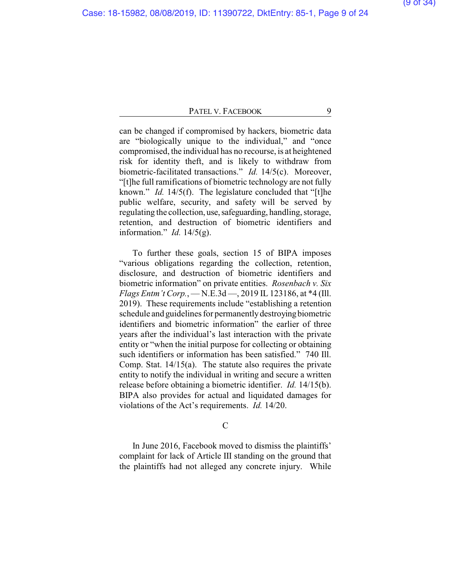can be changed if compromised by hackers, biometric data are "biologically unique to the individual," and "once compromised, the individual has no recourse, is at heightened risk for identity theft, and is likely to withdraw from biometric-facilitated transactions." *Id.* 14/5(c). Moreover, "[t]he full ramifications of biometric technology are not fully known." *Id.* 14/5(f). The legislature concluded that "[t]he public welfare, security, and safety will be served by regulating the collection, use, safeguarding, handling, storage, retention, and destruction of biometric identifiers and information." *Id.* 14/5(g).

To further these goals, section 15 of BIPA imposes "various obligations regarding the collection, retention, disclosure, and destruction of biometric identifiers and biometric information" on private entities. *Rosenbach v. Six Flags Entm't Corp.*, — N.E.3d —, 2019 IL 123186, at \*4 (Ill. 2019). These requirements include "establishing a retention schedule and guidelines for permanentlydestroying biometric identifiers and biometric information" the earlier of three years after the individual's last interaction with the private entity or "when the initial purpose for collecting or obtaining such identifiers or information has been satisfied." 740 Ill. Comp. Stat. 14/15(a). The statute also requires the private entity to notify the individual in writing and secure a written release before obtaining a biometric identifier. *Id.* 14/15(b). BIPA also provides for actual and liquidated damages for violations of the Act's requirements. *Id.* 14/20.

# C

In June 2016, Facebook moved to dismiss the plaintiffs' complaint for lack of Article III standing on the ground that the plaintiffs had not alleged any concrete injury. While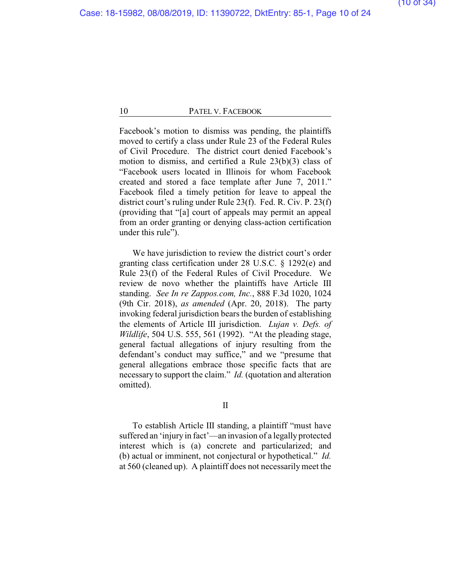Facebook's motion to dismiss was pending, the plaintiffs moved to certify a class under Rule 23 of the Federal Rules of Civil Procedure. The district court denied Facebook's motion to dismiss, and certified a Rule 23(b)(3) class of "Facebook users located in Illinois for whom Facebook created and stored a face template after June 7, 2011." Facebook filed a timely petition for leave to appeal the district court's ruling under Rule 23(f). Fed. R. Civ. P. 23(f) (providing that "[a] court of appeals may permit an appeal from an order granting or denying class-action certification under this rule").

We have jurisdiction to review the district court's order granting class certification under 28 U.S.C. § 1292(e) and Rule 23(f) of the Federal Rules of Civil Procedure. We review de novo whether the plaintiffs have Article III standing. *See In re Zappos.com, Inc.*, 888 F.3d 1020, 1024 (9th Cir. 2018), *as amended* (Apr. 20, 2018). The party invoking federal jurisdiction bears the burden of establishing the elements of Article III jurisdiction. *Lujan v. Defs. of Wildlife*, 504 U.S. 555, 561 (1992). "At the pleading stage, general factual allegations of injury resulting from the defendant's conduct may suffice," and we "presume that general allegations embrace those specific facts that are necessary to support the claim." *Id.* (quotation and alteration omitted).

II

To establish Article III standing, a plaintiff "must have suffered an 'injury in fact'—an invasion of a legally protected interest which is (a) concrete and particularized; and (b) actual or imminent, not conjectural or hypothetical." *Id.* at 560 (cleaned up). A plaintiff does not necessarily meet the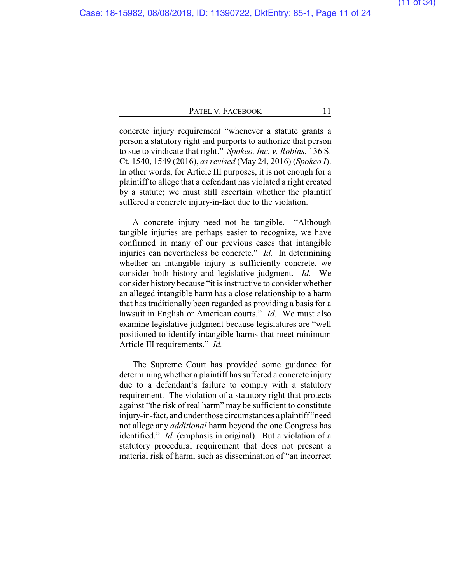concrete injury requirement "whenever a statute grants a person a statutory right and purports to authorize that person to sue to vindicate that right." *Spokeo, Inc. v. Robins*, 136 S. Ct. 1540, 1549 (2016), *as revised* (May 24, 2016) (*Spokeo I*). In other words, for Article III purposes, it is not enough for a plaintiff to allege that a defendant has violated a right created by a statute; we must still ascertain whether the plaintiff suffered a concrete injury-in-fact due to the violation.

A concrete injury need not be tangible. "Although tangible injuries are perhaps easier to recognize, we have confirmed in many of our previous cases that intangible injuries can nevertheless be concrete." *Id.* In determining whether an intangible injury is sufficiently concrete, we consider both history and legislative judgment. *Id.* We consider history because "it is instructive to consider whether an alleged intangible harm has a close relationship to a harm that has traditionally been regarded as providing a basis for a lawsuit in English or American courts." *Id.* We must also examine legislative judgment because legislatures are "well positioned to identify intangible harms that meet minimum Article III requirements." *Id.*

The Supreme Court has provided some guidance for determining whether a plaintiff has suffered a concrete injury due to a defendant's failure to comply with a statutory requirement. The violation of a statutory right that protects against "the risk of real harm" may be sufficient to constitute injury-in-fact, and under those circumstances a plaintiff "need not allege any *additional* harm beyond the one Congress has identified." *Id.* (emphasis in original). But a violation of a statutory procedural requirement that does not present a material risk of harm, such as dissemination of "an incorrect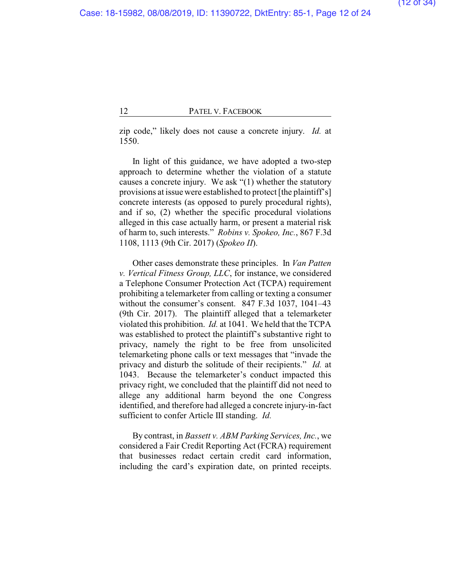zip code," likely does not cause a concrete injury. *Id.* at 1550.

In light of this guidance, we have adopted a two-step approach to determine whether the violation of a statute causes a concrete injury. We ask "(1) whether the statutory provisions at issue were established to protect [the plaintiff's] concrete interests (as opposed to purely procedural rights), and if so, (2) whether the specific procedural violations alleged in this case actually harm, or present a material risk of harm to, such interests." *Robins v. Spokeo, Inc.*, 867 F.3d 1108, 1113 (9th Cir. 2017) (*Spokeo II*).

Other cases demonstrate these principles. In *Van Patten v. Vertical Fitness Group, LLC*, for instance, we considered a Telephone Consumer Protection Act (TCPA) requirement prohibiting a telemarketer from calling or texting a consumer without the consumer's consent. 847 F.3d 1037, 1041–43 (9th Cir. 2017). The plaintiff alleged that a telemarketer violated this prohibition. *Id.* at 1041. We held that the TCPA was established to protect the plaintiff's substantive right to privacy, namely the right to be free from unsolicited telemarketing phone calls or text messages that "invade the privacy and disturb the solitude of their recipients." *Id.* at 1043. Because the telemarketer's conduct impacted this privacy right, we concluded that the plaintiff did not need to allege any additional harm beyond the one Congress identified, and therefore had alleged a concrete injury-in-fact sufficient to confer Article III standing. *Id.*

By contrast, in *Bassett v. ABM Parking Services, Inc.*, we considered a Fair Credit Reporting Act (FCRA) requirement that businesses redact certain credit card information, including the card's expiration date, on printed receipts.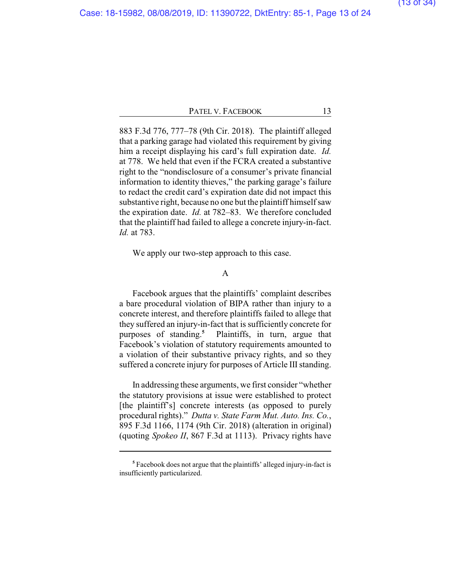883 F.3d 776, 777–78 (9th Cir. 2018). The plaintiff alleged that a parking garage had violated this requirement by giving him a receipt displaying his card's full expiration date. *Id.* at 778. We held that even if the FCRA created a substantive right to the "nondisclosure of a consumer's private financial information to identity thieves," the parking garage's failure to redact the credit card's expiration date did not impact this substantive right, because no one but the plaintiff himself saw the expiration date. *Id.* at 782–83. We therefore concluded that the plaintiff had failed to allege a concrete injury-in-fact. *Id.* at 783.

We apply our two-step approach to this case.

# A

Facebook argues that the plaintiffs' complaint describes a bare procedural violation of BIPA rather than injury to a concrete interest, and therefore plaintiffs failed to allege that they suffered an injury-in-fact that is sufficiently concrete for purposes of standing. **<sup>5</sup>** Plaintiffs, in turn, argue that Facebook's violation of statutory requirements amounted to a violation of their substantive privacy rights, and so they suffered a concrete injury for purposes of Article III standing.

In addressing these arguments, we first consider "whether the statutory provisions at issue were established to protect [the plaintiff's] concrete interests (as opposed to purely procedural rights)." *Dutta v. State Farm Mut. Auto. Ins. Co.*, 895 F.3d 1166, 1174 (9th Cir. 2018) (alteration in original) (quoting *Spokeo II*, 867 F.3d at 1113). Privacy rights have

**<sup>5</sup>** Facebook does not argue that the plaintiffs' alleged injury-in-fact is insufficiently particularized.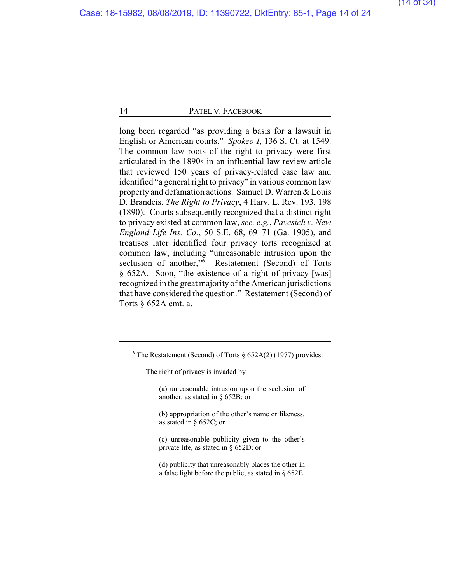long been regarded "as providing a basis for a lawsuit in English or American courts." *Spokeo I*, 136 S. Ct. at 1549. The common law roots of the right to privacy were first articulated in the 1890s in an influential law review article that reviewed 150 years of privacy-related case law and identified "a general right to privacy" in various common law property and defamation actions. Samuel D. Warren & Louis D. Brandeis, *The Right to Privacy*, 4 Harv. L. Rev. 193, 198 (1890). Courts subsequently recognized that a distinct right to privacy existed at common law, *see, e.g.*, *Pavesich v. New England Life Ins. Co.*, 50 S.E. 68, 69–71 (Ga. 1905), and treatises later identified four privacy torts recognized at common law, including "unreasonable intrusion upon the seclusion of another,"**<sup>6</sup>** Restatement (Second) of Torts § 652A. Soon, "the existence of a right of privacy [was] recognized in the great majority of the American jurisdictions that have considered the question." Restatement (Second) of Torts § 652A cmt. a.

(a) unreasonable intrusion upon the seclusion of another, as stated in § 652B; or

(b) appropriation of the other's name or likeness, as stated in § 652C; or

(c) unreasonable publicity given to the other's private life, as stated in § 652D; or

(d) publicity that unreasonably places the other in a false light before the public, as stated in § 652E.

**<sup>6</sup>** The Restatement (Second) of Torts § 652A(2) (1977) provides:

The right of privacy is invaded by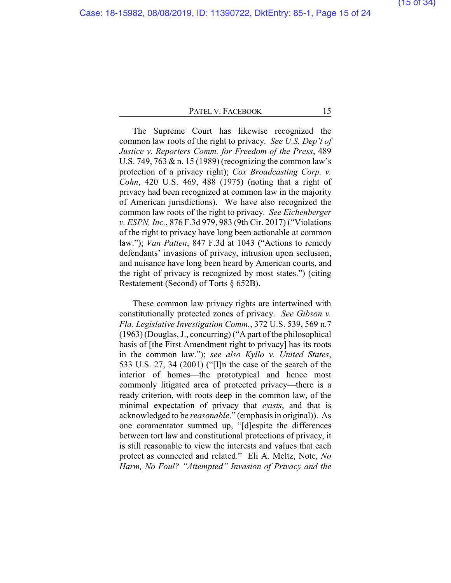The Supreme Court has likewise recognized the common law roots of the right to privacy. *See U.S. Dep't of Justice v. Reporters Comm. for Freedom of the Press*, 489 U.S. 749, 763 & n. 15 (1989) (recognizing the common law's protection of a privacy right); *Cox Broadcasting Corp. v. Cohn*, 420 U.S. 469, 488 (1975) (noting that a right of privacy had been recognized at common law in the majority of American jurisdictions). We have also recognized the common law roots of the right to privacy. *See Eichenberger v. ESPN, Inc.*, 876 F.3d 979, 983 (9th Cir. 2017) ("Violations of the right to privacy have long been actionable at common law."); *Van Patten*, 847 F.3d at 1043 ("Actions to remedy defendants' invasions of privacy, intrusion upon seclusion, and nuisance have long been heard by American courts, and the right of privacy is recognized by most states.") (citing Restatement (Second) of Torts § 652B).

These common law privacy rights are intertwined with constitutionally protected zones of privacy. *See Gibson v. Fla. Legislative Investigation Comm.*, 372 U.S. 539, 569 n.7 (1963) (Douglas, J., concurring) ("A part of the philosophical basis of [the First Amendment right to privacy] has its roots in the common law."); *see also Kyllo v. United States*, 533 U.S. 27, 34 (2001) ("[I]n the case of the search of the interior of homes—the prototypical and hence most commonly litigated area of protected privacy—there is a ready criterion, with roots deep in the common law, of the minimal expectation of privacy that *exists*, and that is acknowledged to be *reasonable*." (emphasis in original)). As one commentator summed up, "[d]espite the differences between tort law and constitutional protections of privacy, it is still reasonable to view the interests and values that each protect as connected and related." Eli A. Meltz, Note, *No Harm, No Foul? "Attempted" Invasion of Privacy and the*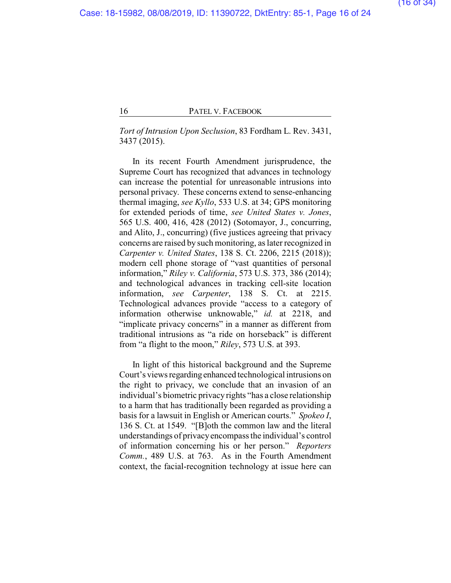*Tort of Intrusion Upon Seclusion*, 83 Fordham L. Rev. 3431, 3437 (2015).

In its recent Fourth Amendment jurisprudence, the Supreme Court has recognized that advances in technology can increase the potential for unreasonable intrusions into personal privacy. These concerns extend to sense-enhancing thermal imaging, *see Kyllo*, 533 U.S. at 34; GPS monitoring for extended periods of time, *see United States v. Jones*, 565 U.S. 400, 416, 428 (2012) (Sotomayor, J., concurring, and Alito, J., concurring) (five justices agreeing that privacy concerns are raised by such monitoring, as later recognized in *Carpenter v. United States*, 138 S. Ct. 2206, 2215 (2018)); modern cell phone storage of "vast quantities of personal information," *Riley v. California*, 573 U.S. 373, 386 (2014); and technological advances in tracking cell-site location information, *see Carpenter*, 138 S. Ct. at 2215. Technological advances provide "access to a category of information otherwise unknowable," *id.* at 2218, and "implicate privacy concerns" in a manner as different from traditional intrusions as "a ride on horseback" is different from "a flight to the moon," *Riley*, 573 U.S. at 393.

In light of this historical background and the Supreme Court's views regarding enhanced technological intrusions on the right to privacy, we conclude that an invasion of an individual's biometric privacy rights "has a close relationship to a harm that has traditionally been regarded as providing a basis for a lawsuit in English or American courts." *Spokeo I*, 136 S. Ct. at 1549. "[B]oth the common law and the literal understandings of privacyencompass the individual's control of information concerning his or her person." *Reporters Comm.*, 489 U.S. at 763. As in the Fourth Amendment context, the facial-recognition technology at issue here can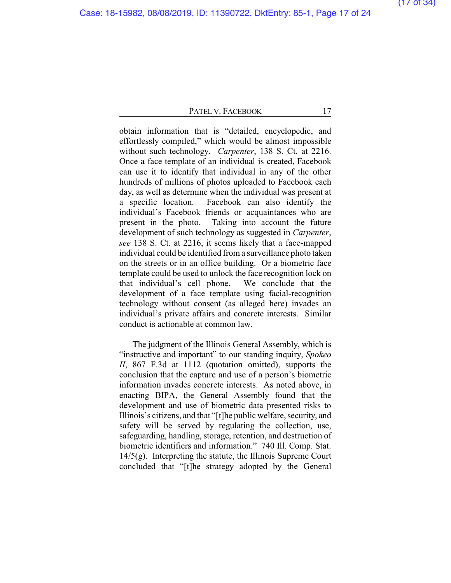obtain information that is "detailed, encyclopedic, and effortlessly compiled," which would be almost impossible without such technology. *Carpenter*, 138 S. Ct. at 2216. Once a face template of an individual is created, Facebook can use it to identify that individual in any of the other hundreds of millions of photos uploaded to Facebook each day, as well as determine when the individual was present at a specific location. Facebook can also identify the individual's Facebook friends or acquaintances who are present in the photo. Taking into account the future development of such technology as suggested in *Carpenter*, *see* 138 S. Ct. at 2216, it seems likely that a face-mapped individual could be identified from a surveillance photo taken on the streets or in an office building. Or a biometric face template could be used to unlock the face recognition lock on that individual's cell phone. We conclude that the development of a face template using facial-recognition technology without consent (as alleged here) invades an individual's private affairs and concrete interests. Similar conduct is actionable at common law.

The judgment of the Illinois General Assembly, which is "instructive and important" to our standing inquiry, *Spokeo II*, 867 F.3d at 1112 (quotation omitted), supports the conclusion that the capture and use of a person's biometric information invades concrete interests. As noted above, in enacting BIPA, the General Assembly found that the development and use of biometric data presented risks to Illinois's citizens, and that "[t]he public welfare, security, and safety will be served by regulating the collection, use, safeguarding, handling, storage, retention, and destruction of biometric identifiers and information." 740 Ill. Comp. Stat.  $14/5(g)$ . Interpreting the statute, the Illinois Supreme Court concluded that "[t]he strategy adopted by the General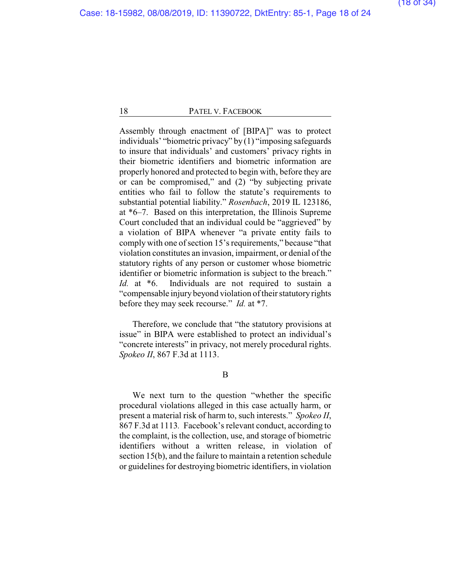Assembly through enactment of [BIPA]" was to protect individuals' "biometric privacy" by (1) "imposing safeguards to insure that individuals' and customers' privacy rights in their biometric identifiers and biometric information are properly honored and protected to begin with, before they are or can be compromised," and (2) "by subjecting private entities who fail to follow the statute's requirements to substantial potential liability." *Rosenbach*, 2019 IL 123186, at \*6–7. Based on this interpretation, the Illinois Supreme Court concluded that an individual could be "aggrieved" by a violation of BIPA whenever "a private entity fails to comply with one of section 15's requirements," because "that violation constitutes an invasion, impairment, or denial of the statutory rights of any person or customer whose biometric identifier or biometric information is subject to the breach." *Id.* at \*6. Individuals are not required to sustain a "compensable injury beyond violation of their statutory rights before they may seek recourse." *Id.* at \*7.

Therefore, we conclude that "the statutory provisions at issue" in BIPA were established to protect an individual's "concrete interests" in privacy, not merely procedural rights. *Spokeo II*, 867 F.3d at 1113.

B

We next turn to the question "whether the specific procedural violations alleged in this case actually harm, or present a material risk of harm to, such interests." *Spokeo II*, 867 F.3d at 1113*.* Facebook's relevant conduct, according to the complaint, is the collection, use, and storage of biometric identifiers without a written release, in violation of section 15(b), and the failure to maintain a retention schedule or guidelines for destroying biometric identifiers, in violation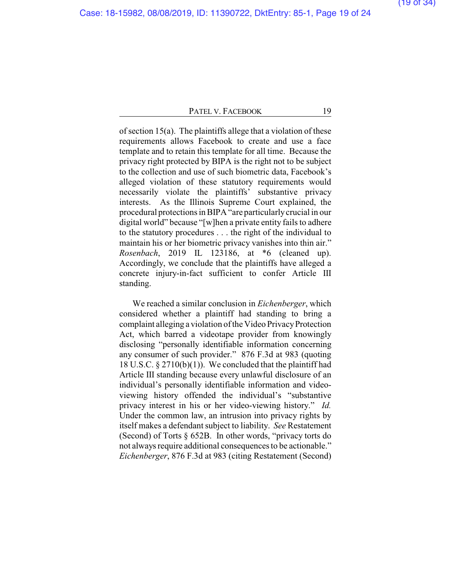of section 15(a). The plaintiffs allege that a violation of these requirements allows Facebook to create and use a face template and to retain this template for all time. Because the privacy right protected by BIPA is the right not to be subject to the collection and use of such biometric data, Facebook's alleged violation of these statutory requirements would necessarily violate the plaintiffs' substantive privacy interests. As the Illinois Supreme Court explained, the procedural protections in BIPA "are particularlycrucial in our digital world" because "[w]hen a private entity fails to adhere to the statutory procedures . . . the right of the individual to maintain his or her biometric privacy vanishes into thin air." *Rosenbach*, 2019 IL 123186, at \*6 (cleaned up). Accordingly, we conclude that the plaintiffs have alleged a concrete injury-in-fact sufficient to confer Article III standing.

We reached a similar conclusion in *Eichenberger*, which considered whether a plaintiff had standing to bring a complaint alleging a violation of the Video Privacy Protection Act, which barred a videotape provider from knowingly disclosing "personally identifiable information concerning any consumer of such provider." 876 F.3d at 983 (quoting 18 U.S.C. § 2710(b)(1)). We concluded that the plaintiff had Article III standing because every unlawful disclosure of an individual's personally identifiable information and videoviewing history offended the individual's "substantive privacy interest in his or her video-viewing history." *Id.* Under the common law, an intrusion into privacy rights by itself makes a defendant subject to liability. *See* Restatement (Second) of Torts § 652B. In other words, "privacy torts do not always require additional consequences to be actionable." *Eichenberger*, 876 F.3d at 983 (citing Restatement (Second)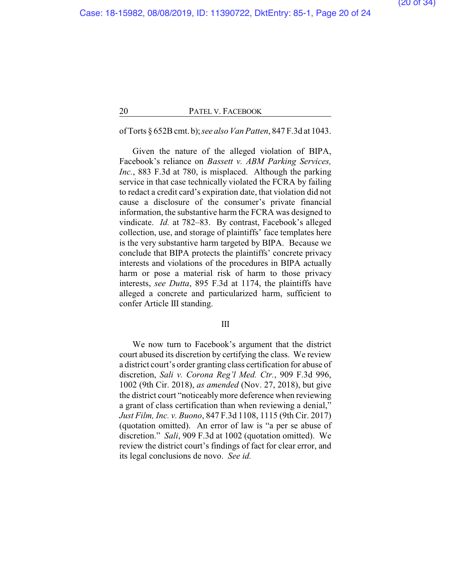# of Torts § 652Bcmt. b);*see alsoVan Patten*, 847 F.3d at 1043.

Given the nature of the alleged violation of BIPA, Facebook's reliance on *Bassett v. ABM Parking Services, Inc.*, 883 F.3d at 780, is misplaced. Although the parking service in that case technically violated the FCRA by failing to redact a credit card's expiration date, that violation did not cause a disclosure of the consumer's private financial information, the substantive harm the FCRA was designed to vindicate. *Id.* at 782–83. By contrast, Facebook's alleged collection, use, and storage of plaintiffs' face templates here is the very substantive harm targeted by BIPA. Because we conclude that BIPA protects the plaintiffs' concrete privacy interests and violations of the procedures in BIPA actually harm or pose a material risk of harm to those privacy interests, *see Dutta*, 895 F.3d at 1174, the plaintiffs have alleged a concrete and particularized harm, sufficient to confer Article III standing.

# III

We now turn to Facebook's argument that the district court abused its discretion by certifying the class. We review a district court's order granting class certification for abuse of discretion, *Sali v. Corona Reg'l Med. Ctr.*, 909 F.3d 996, 1002 (9th Cir. 2018), *as amended* (Nov. 27, 2018), but give the district court "noticeablymore deference when reviewing a grant of class certification than when reviewing a denial," *Just Film, Inc. v. Buono*, 847 F.3d 1108, 1115 (9th Cir. 2017) (quotation omitted). An error of law is "a per se abuse of discretion." *Sali*, 909 F.3d at 1002 (quotation omitted). We review the district court's findings of fact for clear error, and its legal conclusions de novo. *See id.*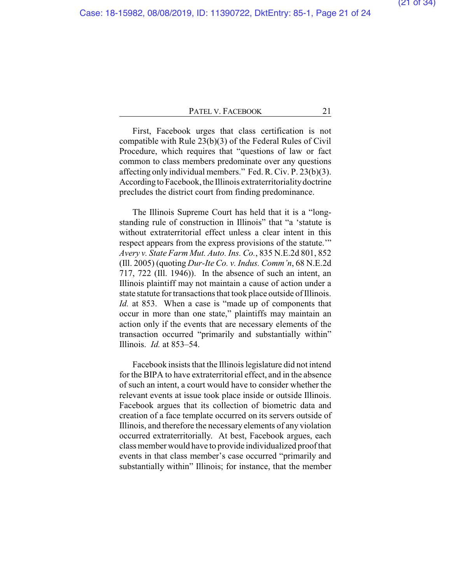First, Facebook urges that class certification is not compatible with Rule 23(b)(3) of the Federal Rules of Civil Procedure, which requires that "questions of law or fact common to class members predominate over any questions affecting only individual members." Fed. R. Civ. P. 23(b)(3). According to Facebook, the Illinois extraterritorialitydoctrine precludes the district court from finding predominance.

The Illinois Supreme Court has held that it is a "longstanding rule of construction in Illinois" that "a 'statute is without extraterritorial effect unless a clear intent in this respect appears from the express provisions of the statute.'" *Avery v. State Farm Mut. Auto. Ins. Co.*, 835 N.E.2d 801, 852 (Ill. 2005) (quoting *Dur-Ite Co. v. Indus. Comm'n*, 68 N.E.2d 717, 722 (Ill. 1946)). In the absence of such an intent, an Illinois plaintiff may not maintain a cause of action under a state statute for transactions that took place outside of Illinois. *Id.* at 853. When a case is "made up of components that occur in more than one state," plaintiffs may maintain an action only if the events that are necessary elements of the transaction occurred "primarily and substantially within" Illinois. *Id.* at 853–54.

Facebook insists that the Illinois legislature did not intend for the BIPA to have extraterritorial effect, and in the absence of such an intent, a court would have to consider whether the relevant events at issue took place inside or outside Illinois. Facebook argues that its collection of biometric data and creation of a face template occurred on its servers outside of Illinois, and therefore the necessary elements of any violation occurred extraterritorially. At best, Facebook argues, each class member would have to provide individualized proof that events in that class member's case occurred "primarily and substantially within" Illinois; for instance, that the member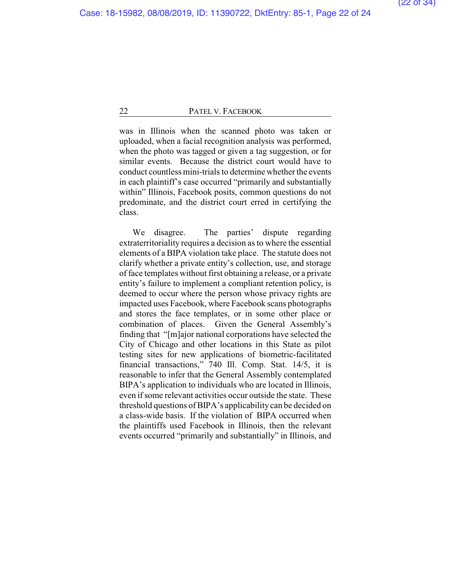was in Illinois when the scanned photo was taken or uploaded, when a facial recognition analysis was performed, when the photo was tagged or given a tag suggestion, or for similar events. Because the district court would have to conduct countless mini-trials to determine whether the events in each plaintiff's case occurred "primarily and substantially within" Illinois, Facebook posits, common questions do not predominate, and the district court erred in certifying the class.

We disagree. The parties' dispute regarding extraterritoriality requires a decision as to where the essential elements of a BIPA violation take place. The statute does not clarify whether a private entity's collection, use, and storage of face templates without first obtaining a release, or a private entity's failure to implement a compliant retention policy, is deemed to occur where the person whose privacy rights are impacted uses Facebook, where Facebook scans photographs and stores the face templates, or in some other place or combination of places. Given the General Assembly's finding that "[m]ajor national corporations have selected the City of Chicago and other locations in this State as pilot testing sites for new applications of biometric-facilitated financial transactions," 740 Ill. Comp. Stat. 14/5, it is reasonable to infer that the General Assembly contemplated BIPA's application to individuals who are located in Illinois, even if some relevant activities occur outside the state. These threshold questions of BIPA's applicability can be decided on a class-wide basis. If the violation of BIPA occurred when the plaintiffs used Facebook in Illinois, then the relevant events occurred "primarily and substantially" in Illinois, and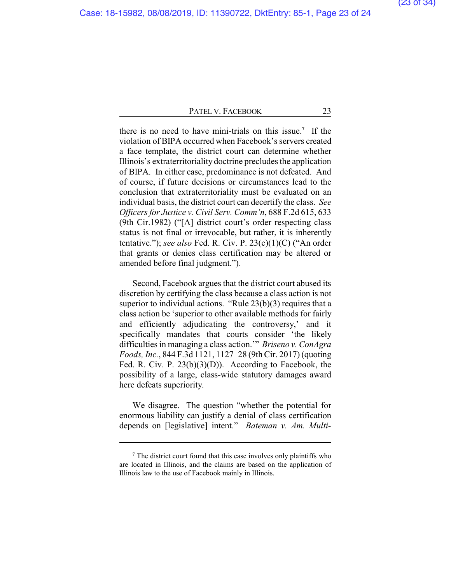there is no need to have mini-trials on this issue.**<sup>7</sup>** If the violation of BIPA occurred when Facebook's servers created a face template, the district court can determine whether Illinois's extraterritoriality doctrine precludes the application of BIPA. In either case, predominance is not defeated. And of course, if future decisions or circumstances lead to the conclusion that extraterritoriality must be evaluated on an individual basis, the district court can decertify the class. *See Officers for Justice v. Civil Serv. Comm'n*, 688 F.2d 615, 633 (9th Cir.1982) ("[A] district court's order respecting class status is not final or irrevocable, but rather, it is inherently tentative."); *see also* Fed. R. Civ. P. 23(c)(1)(C) ("An order that grants or denies class certification may be altered or amended before final judgment.").

Second, Facebook argues that the district court abused its discretion by certifying the class because a class action is not superior to individual actions. "Rule 23(b)(3) requires that a class action be 'superior to other available methods for fairly and efficiently adjudicating the controversy,' and it specifically mandates that courts consider 'the likely difficulties in managing a class action.'" *Briseno v. ConAgra Foods, Inc.*, 844 F.3d 1121, 1127–28 (9th Cir. 2017) (quoting Fed. R. Civ. P. 23(b)(3)(D)). According to Facebook, the possibility of a large, class-wide statutory damages award here defeats superiority.

We disagree. The question "whether the potential for enormous liability can justify a denial of class certification depends on [legislative] intent." *Bateman v. Am. Multi-*

**<sup>7</sup>** The district court found that this case involves only plaintiffs who are located in Illinois, and the claims are based on the application of Illinois law to the use of Facebook mainly in Illinois.